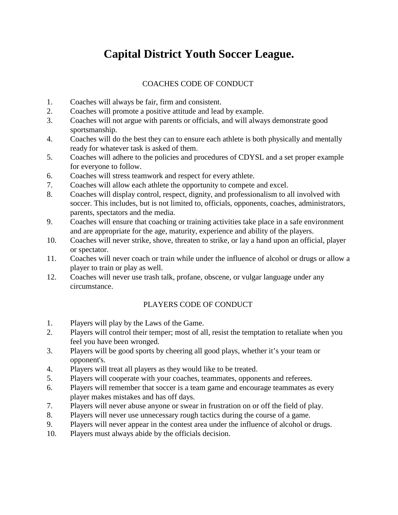# **Capital District Youth Soccer League.**

## COACHES CODE OF CONDUCT

- 1. Coaches will always be fair, firm and consistent.
- 2. Coaches will promote a positive attitude and lead by example.
- 3. Coaches will not argue with parents or officials, and will always demonstrate good sportsmanship.
- 4. Coaches will do the best they can to ensure each athlete is both physically and mentally ready for whatever task is asked of them.
- 5. Coaches will adhere to the policies and procedures of CDYSL and a set proper example for everyone to follow.
- 6. Coaches will stress teamwork and respect for every athlete.
- 7. Coaches will allow each athlete the opportunity to compete and excel.
- 8. Coaches will display control, respect, dignity, and professionalism to all involved with soccer. This includes, but is not limited to, officials, opponents, coaches, administrators, parents, spectators and the media.
- 9. Coaches will ensure that coaching or training activities take place in a safe environment and are appropriate for the age, maturity, experience and ability of the players.
- 10. Coaches will never strike, shove, threaten to strike, or lay a hand upon an official, player or spectator.
- 11. Coaches will never coach or train while under the influence of alcohol or drugs or allow a player to train or play as well.
- 12. Coaches will never use trash talk, profane, obscene, or vulgar language under any circumstance.

### PLAYERS CODE OF CONDUCT

- 1. Players will play by the Laws of the Game.
- 2. Players will control their temper; most of all, resist the temptation to retaliate when you feel you have been wronged.
- 3. Players will be good sports by cheering all good plays, whether it's your team or opponent's.
- 4. Players will treat all players as they would like to be treated.
- 5. Players will cooperate with your coaches, teammates, opponents and referees.
- 6. Players will remember that soccer is a team game and encourage teammates as every player makes mistakes and has off days.
- 7. Players will never abuse anyone or swear in frustration on or off the field of play.
- 8. Players will never use unnecessary rough tactics during the course of a game.
- 9. Players will never appear in the contest area under the influence of alcohol or drugs.
- 10. Players must always abide by the officials decision.